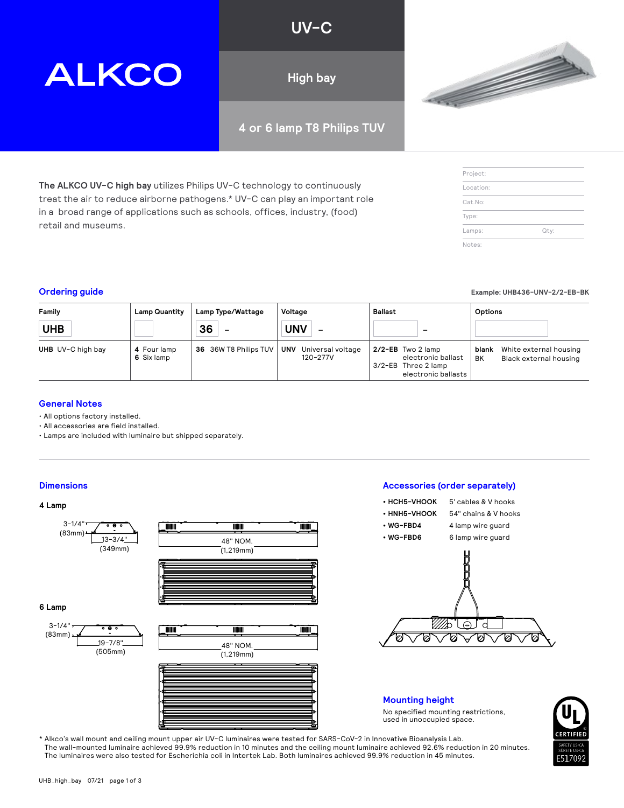#### **UV-C**

**High bay**

#### **4 or 6 lamp T8 Philips TUV**

**The ALKCO UV-C high bay** utilizes Philips UV-C technology to continuously treat the air to reduce airborne pathogens.\* UV-C can play an important role in a broad range of applications such as schools, offices, industry, (food) retail and museums.

| Family<br><b>UHB</b> | <b>Lamp Quantity</b>      | Lamp Type/Wattage<br>36<br>$\overline{\phantom{m}}$ | Voltage<br><b>UNV</b><br>$\overline{\phantom{m}}$ | Ballast<br>$\qquad \qquad$                                                               | Options                                                         |
|----------------------|---------------------------|-----------------------------------------------------|---------------------------------------------------|------------------------------------------------------------------------------------------|-----------------------------------------------------------------|
| UHB UV-C high bay    | 4 Four lamp<br>6 Six lamp | 36 36W T8 Philips TUV                               | <b>UNV</b><br>Universal voltage<br>120-277V       | $2/2$ -EB Two 2 lamp<br>electronic ballast<br>3/2-EB Three 2 lamp<br>electronic ballasts | White external housing<br>blank<br>BK<br>Black external housing |

#### **General Notes**

• All options factory installed.

• All accessories are field installed.

**ALKCO** 

• Lamps are included with luminaire but shipped separately.

#### **Dimensions Accessories (order separately)**

#### **4 Lamp**



\* Alkco's wall mount and ceiling mount upper air UV-C luminaires were tested for SARS-CoV-2 in Innovative Bioanalysis Lab. The wall-mounted luminaire achieved 99.9% reduction in 10 minutes and the ceiling mount luminaire achieved 92.6% reduction in 20 minutes. The luminaires were also tested for Escherichia coli in Intertek Lab. Both luminaires achieved 99.9% reduction in 45 minutes.





| in a 'broad range of applications such as schools, offices, industry, (food)<br>retail and museums. |                      |                   |         |         | Type:   |                               |  |
|-----------------------------------------------------------------------------------------------------|----------------------|-------------------|---------|---------|---------|-------------------------------|--|
|                                                                                                     |                      |                   |         |         | Lamps:  | Qty:                          |  |
|                                                                                                     |                      |                   |         |         | Notes:  |                               |  |
| <b>Ordering guide</b>                                                                               |                      |                   |         |         |         | Example: UHB436-UNV-2/2-EB-BK |  |
| Family                                                                                              | <b>Lamp Quantity</b> | Lamp Type/Wattage | Voltage | Ballast | Options |                               |  |

Project: Location: Cat.No:

**• HCH5-VHOOK** 5' cables & V hooks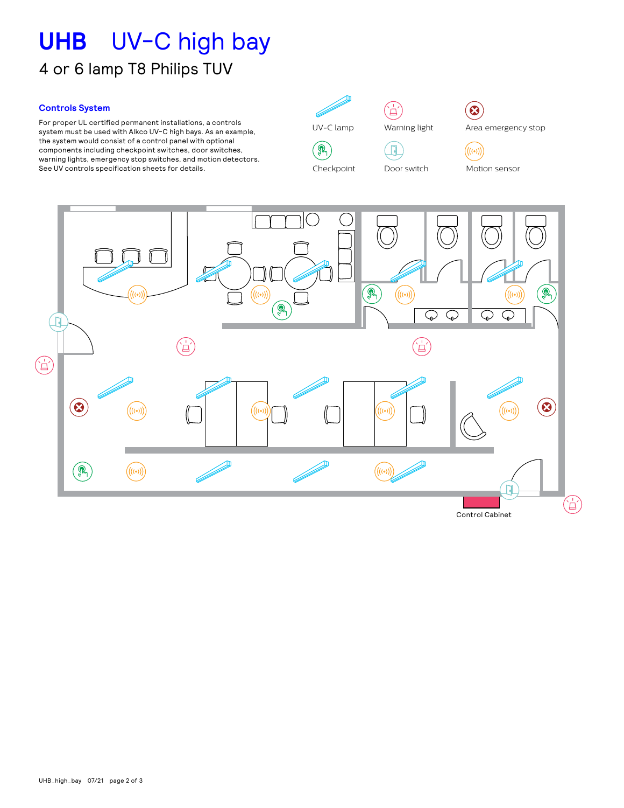## **UHB** UV-C high bay 4 or 6 lamp T8 Philips TUV

#### **Controls System**

ror proper ut certined permanent installations, a controis<br>system must be used with Alkco UV-C high bays. As an example,  $\mathcal{L}$ warning lights, emergency stop switches, and motion detectors. Area emergency stop Warning light Siren See UV controls specification sheets for details. Door switch UV-C lamp Area emergency stop Motion sensor For proper UL certified permanent installations, a controls the system would consist of a control panel with optional components including checkpoint switches, door switches,

UV-C lamp Lampes UV-C  $\mathbf{Q}$ Lampes UV-C  $\mathbb{Q}$ Warnlicht

 $\mathbb{C}$  $Cherknoint$ Lampy UV-C

 $U$ erta de alerta de alerta de alerta de alerta de alerta de alerta de alerta de alerta de alerta de alerta de a

światło ostrzegawcze

 $\mathbb{C}$  $Cherknoint$ Lampy UV-C

Checkpoint

(台) Warning light Lumière d'alarme Lumière d'alarme

 $(\Box)$ 





Motion sensor Sirene Sirena  $\bigl((\scriptstyle(\circ)\hspace{-0.08cm})\bigr)$ Parada de emergencia



Control Cabinet